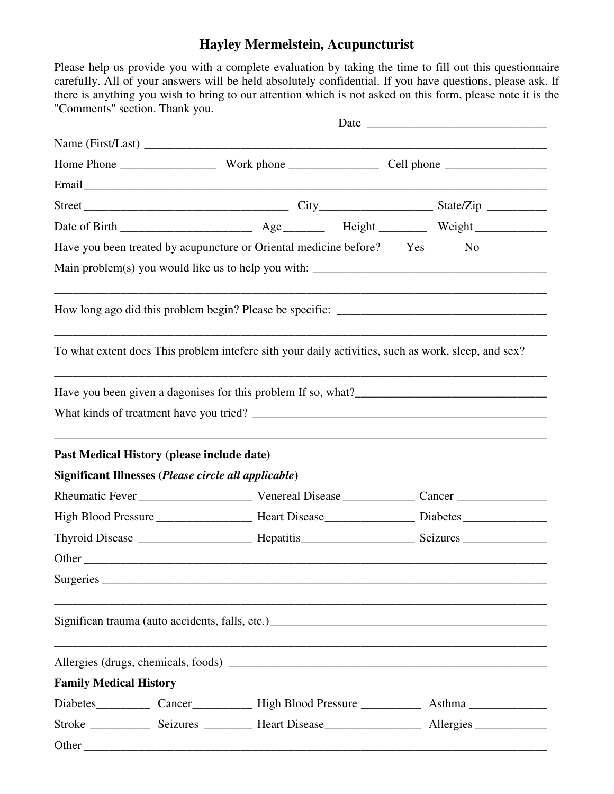## **Hayley Mermelstein, Acupuncturist**

Please help us provide you with a complete evaluation by taking the time to fill out this questionnaire carefuIly. All of your answers will be held absolutely confidential. If you have questions, please ask. If there is anything you wish to bring to our attention which is not asked on this form, please note it is the "Comments" section. Thank you.

|                               |                                                                                                     | Date |  |  |                |
|-------------------------------|-----------------------------------------------------------------------------------------------------|------|--|--|----------------|
|                               |                                                                                                     |      |  |  |                |
|                               |                                                                                                     |      |  |  |                |
|                               |                                                                                                     |      |  |  |                |
|                               |                                                                                                     |      |  |  |                |
|                               |                                                                                                     |      |  |  |                |
|                               | Have you been treated by acupuncture or Oriental medicine before? Yes                               |      |  |  | N <sub>0</sub> |
|                               |                                                                                                     |      |  |  |                |
|                               |                                                                                                     |      |  |  |                |
|                               | To what extent does This problem intefere sith your daily activities, such as work, sleep, and sex? |      |  |  |                |
|                               |                                                                                                     |      |  |  |                |
|                               |                                                                                                     |      |  |  |                |
|                               |                                                                                                     |      |  |  |                |
|                               |                                                                                                     |      |  |  |                |
|                               |                                                                                                     |      |  |  |                |
|                               | Past Medical History (please include date)                                                          |      |  |  |                |
|                               | Significant Illnesses (Please circle all applicable)                                                |      |  |  |                |
|                               |                                                                                                     |      |  |  |                |
|                               |                                                                                                     |      |  |  |                |
|                               |                                                                                                     |      |  |  |                |
|                               | Other                                                                                               |      |  |  |                |
|                               |                                                                                                     |      |  |  |                |
|                               |                                                                                                     |      |  |  |                |
| <b>Family Medical History</b> |                                                                                                     |      |  |  |                |
|                               |                                                                                                     |      |  |  |                |
|                               |                                                                                                     |      |  |  |                |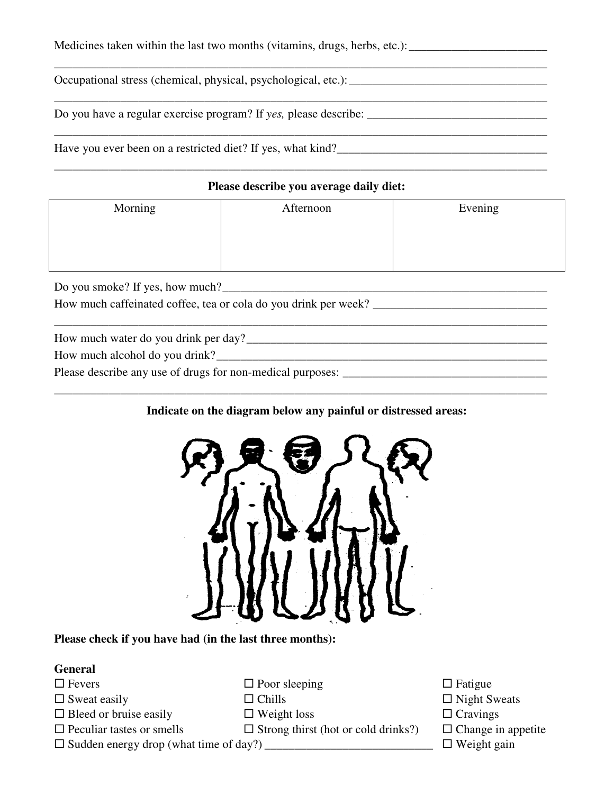Medicines taken within the last two months (vitamins, drugs, herbs, etc.): \_\_\_\_\_\_\_\_\_\_\_\_\_\_\_\_\_\_\_\_\_\_\_\_\_

Occupational stress (chemical, physical, psychological, etc.):\_\_\_\_\_\_\_\_\_\_\_\_\_\_\_\_\_\_\_\_\_\_\_\_\_\_\_\_\_\_\_\_\_

Do you have a regular exercise program? If *yes,* please describe: \_\_\_\_\_\_\_\_\_\_\_\_\_\_\_\_\_\_\_\_\_\_\_\_\_\_\_\_\_\_

Have you ever been on a restricted diet? If yes, what kind?\_\_\_\_\_\_\_\_\_\_\_\_\_\_\_\_\_\_\_\_\_\_\_\_\_\_\_\_\_\_\_\_\_\_\_

#### **Please describe you average daily diet:**

\_\_\_\_\_\_\_\_\_\_\_\_\_\_\_\_\_\_\_\_\_\_\_\_\_\_\_\_\_\_\_\_\_\_\_\_\_\_\_\_\_\_\_\_\_\_\_\_\_\_\_\_\_\_\_\_\_\_\_\_\_\_\_\_\_\_\_\_\_\_\_\_\_\_\_\_\_\_\_\_\_\_

\_\_\_\_\_\_\_\_\_\_\_\_\_\_\_\_\_\_\_\_\_\_\_\_\_\_\_\_\_\_\_\_\_\_\_\_\_\_\_\_\_\_\_\_\_\_\_\_\_\_\_\_\_\_\_\_\_\_\_\_\_\_\_\_\_\_\_\_\_\_\_\_\_\_\_\_\_\_\_\_\_\_

\_\_\_\_\_\_\_\_\_\_\_\_\_\_\_\_\_\_\_\_\_\_\_\_\_\_\_\_\_\_\_\_\_\_\_\_\_\_\_\_\_\_\_\_\_\_\_\_\_\_\_\_\_\_\_\_\_\_\_\_\_\_\_\_\_\_\_\_\_\_\_\_\_\_\_\_\_\_\_\_\_\_

| Morning                                                         | Afternoon | Evening |  |  |  |  |  |
|-----------------------------------------------------------------|-----------|---------|--|--|--|--|--|
|                                                                 |           |         |  |  |  |  |  |
|                                                                 |           |         |  |  |  |  |  |
|                                                                 |           |         |  |  |  |  |  |
| Do you smoke? If yes, how much?                                 |           |         |  |  |  |  |  |
| How much caffeinated coffee, tea or cola do you drink per week? |           |         |  |  |  |  |  |
|                                                                 |           |         |  |  |  |  |  |
| How much water do you drink per day?                            |           |         |  |  |  |  |  |
| How much alcohol do you drink?                                  |           |         |  |  |  |  |  |

Please describe any use of drugs for non-medical purposes: \_\_\_\_\_\_\_\_\_\_\_\_\_\_\_\_\_\_\_\_\_\_\_\_\_\_\_\_\_\_\_\_\_\_

#### **Indicate on the diagram below any painful or distressed areas:**

\_\_\_\_\_\_\_\_\_\_\_\_\_\_\_\_\_\_\_\_\_\_\_\_\_\_\_\_\_\_\_\_\_\_\_\_\_\_\_\_\_\_\_\_\_\_\_\_\_\_\_\_\_\_\_\_\_\_\_\_\_\_\_\_\_\_\_\_\_\_\_\_\_\_\_\_\_\_\_\_\_\_



#### **Please check if you have had (in the last three months):**

### **General**

- 
- $\square$  Sweat easily  $\square$  Chills  $\square$  Night Sweats
- $\Box$  Bleed or bruise easily  $\Box$  Weight loss  $\Box$  Cravings
- 
- $\Box$  Fevers  $\Box$  Poor sleeping  $\Box$  Fatigue
	-
	-
- $\Box$  Peculiar tastes or smells  $\Box$  Strong thirst (hot or cold drinks?)  $\Box$  Change in appetite

- 
- Sudden energy drop (what time of day?) \_\_\_\_\_\_\_\_\_\_\_\_\_\_\_\_\_\_\_\_\_\_\_\_\_\_\_\_ Weight gain
- -

\_\_\_\_\_\_\_\_\_\_\_\_\_\_\_\_\_\_\_\_\_\_\_\_\_\_\_\_\_\_\_\_\_\_\_\_\_\_\_\_\_\_\_\_\_\_\_\_\_\_\_\_\_\_\_\_\_\_\_\_\_\_\_\_\_\_\_\_\_\_\_\_\_\_\_\_\_\_\_\_\_\_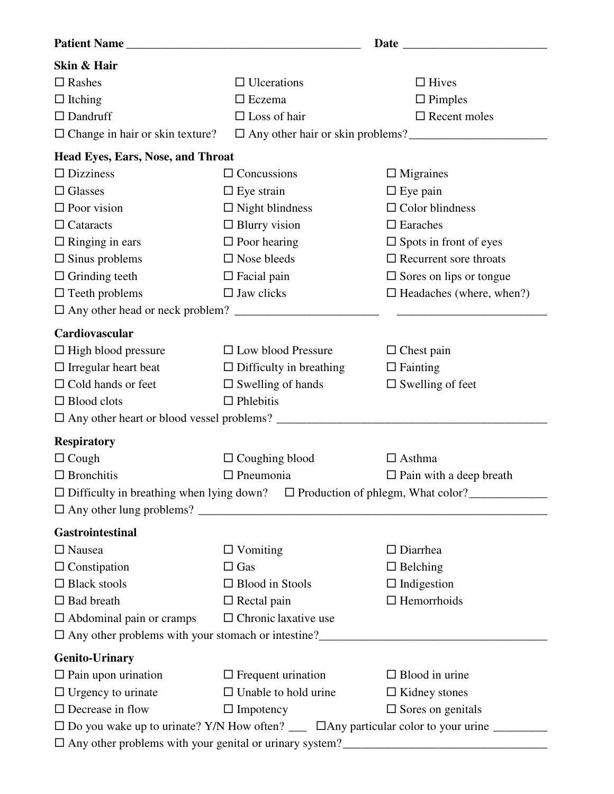| Skin & Hair                                                                              |                                |                                   |  |  |  |  |  |
|------------------------------------------------------------------------------------------|--------------------------------|-----------------------------------|--|--|--|--|--|
| $\Box$ Rashes                                                                            | $\Box$ Ulcerations             | $\Box$ Hives                      |  |  |  |  |  |
| $\Box$ Itching                                                                           | $\Box$ Eczema                  | $\Box$ Pimples                    |  |  |  |  |  |
| $\Box$ Dandruff                                                                          | $\Box$ Loss of hair            | $\Box$ Recent moles               |  |  |  |  |  |
| $\Box$ Change in hair or skin texture?                                                   |                                |                                   |  |  |  |  |  |
| <b>Head Eyes, Ears, Nose, and Throat</b>                                                 |                                |                                   |  |  |  |  |  |
| $\Box$ Dizziness                                                                         | $\Box$ Concussions             | $\Box$ Migraines                  |  |  |  |  |  |
| $\Box$ Glasses                                                                           | $\Box$ Eye strain              | $\Box$ Eye pain                   |  |  |  |  |  |
| $\Box$ Poor vision                                                                       | $\Box$ Night blindness         | $\Box$ Color blindness            |  |  |  |  |  |
| $\Box$ Cataracts                                                                         | $\Box$ Blurry vision           | $\square$ Earaches                |  |  |  |  |  |
| $\Box$ Ringing in ears                                                                   | $\Box$ Poor hearing            | $\Box$ Spots in front of eyes     |  |  |  |  |  |
| $\square$ Sinus problems                                                                 | $\square$ Nose bleeds          | $\Box$ Recurrent sore throats     |  |  |  |  |  |
| $\Box$ Grinding teeth                                                                    | $\Box$ Facial pain             | $\square$ Sores on lips or tongue |  |  |  |  |  |
| $\Box$ Teeth problems                                                                    | $\square$ Jaw clicks           | $\Box$ Headaches (where, when?)   |  |  |  |  |  |
|                                                                                          |                                |                                   |  |  |  |  |  |
| Cardiovascular                                                                           |                                |                                   |  |  |  |  |  |
| $\Box$ High blood pressure                                                               | $\Box$ Low blood Pressure      | $\Box$ Chest pain                 |  |  |  |  |  |
| $\Box$ Irregular heart beat                                                              | $\Box$ Difficulty in breathing | $\Box$ Fainting                   |  |  |  |  |  |
| $\Box$ Cold hands or feet                                                                | $\square$ Swelling of hands    | $\square$ Swelling of feet        |  |  |  |  |  |
| $\Box$ Blood clots                                                                       | $\Box$ Phlebitis               |                                   |  |  |  |  |  |
|                                                                                          |                                |                                   |  |  |  |  |  |
| <b>Respiratory</b>                                                                       |                                |                                   |  |  |  |  |  |
| $\Box$ Cough                                                                             | $\Box$ Coughing blood          | $\Box$ Asthma                     |  |  |  |  |  |
| $\Box$ Bronchitis                                                                        | $\Box$ Pneumonia               | $\Box$ Pain with a deep breath    |  |  |  |  |  |
|                                                                                          |                                |                                   |  |  |  |  |  |
| $\Box$ Difficulty in breathing when lying down? $\Box$ Production of phlegm, What color? |                                |                                   |  |  |  |  |  |
| <b>Gastrointestinal</b>                                                                  |                                |                                   |  |  |  |  |  |
| $\Box$ Nausea                                                                            | $\Box$ Vomiting                | $\Box$ Diarrhea                   |  |  |  |  |  |
| $\Box$ Constipation                                                                      | $\Box$ Gas                     | $\Box$ Belching                   |  |  |  |  |  |
| $\Box$ Black stools                                                                      | $\Box$ Blood in Stools         | $\Box$ Indigestion                |  |  |  |  |  |
| $\Box$ Bad breath                                                                        | $\Box$ Rectal pain             | $\Box$ Hemorrhoids                |  |  |  |  |  |
| $\Box$ Abdominal pain or cramps                                                          | $\Box$ Chronic laxative use    |                                   |  |  |  |  |  |
|                                                                                          |                                |                                   |  |  |  |  |  |
| <b>Genito-Urinary</b>                                                                    |                                |                                   |  |  |  |  |  |
| $\Box$ Pain upon urination                                                               | $\Box$ Frequent urination      | $\Box$ Blood in urine             |  |  |  |  |  |
| $\Box$ Urgency to urinate                                                                | $\Box$ Unable to hold urine    | $\Box$ Kidney stones              |  |  |  |  |  |
| $\square$ Decrease in flow                                                               | $\Box$ Impotency               | $\Box$ Sores on genitals          |  |  |  |  |  |
|                                                                                          |                                |                                   |  |  |  |  |  |
| □ Any other problems with your genital or urinary system?<br><sub>→</sub>                |                                |                                   |  |  |  |  |  |